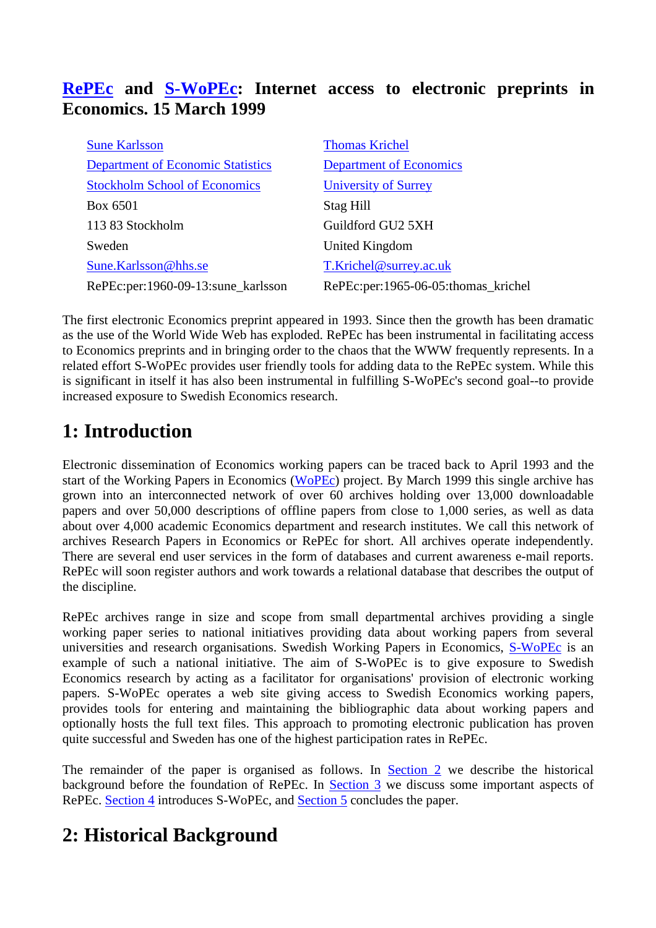# **RePEc and S-WoPEc: Internet access to electronic preprints in Economics. 15 March 1999**

| <b>Sune Karlsson</b>                     | <b>Thomas Krichel</b>               |
|------------------------------------------|-------------------------------------|
| <b>Department of Economic Statistics</b> | <b>Department of Economics</b>      |
| <b>Stockholm School of Economics</b>     | University of Surrey                |
| Box 6501                                 | Stag Hill                           |
| 113 83 Stockholm                         | Guildford GU2 5XH                   |
| Sweden                                   | United Kingdom                      |
| Sune.Karlsson@hhs.se                     | T.Krichel@surrey.ac.uk              |
| RePEc:per:1960-09-13:sune_karlsson       | RePEc:per:1965-06-05:thomas_krichel |

The first electronic Economics preprint appeared in 1993. Since then the growth has been dramatic as the use of the World Wide Web has exploded. RePEc has been instrumental in facilitating access to Economics preprints and in bringing order to the chaos that the WWW frequently represents. In a related effort S-WoPEc provides user friendly tools for adding data to the RePEc system. While this is significant in itself it has also been instrumental in fulfilling S-WoPEc's second goal--to provide increased exposure to Swedish Economics research.

# **1: Introduction**

Electronic dissemination of Economics working papers can be traced back to April 1993 and the start of the Working Papers in Economics (WoPEc) project. By March 1999 this single archive has grown into an interconnected network of over 60 archives holding over 13,000 downloadable papers and over 50,000 descriptions of offline papers from close to 1,000 series, as well as data about over 4,000 academic Economics department and research institutes. We call this network of archives Research Papers in Economics or RePEc for short. All archives operate independently. There are several end user services in the form of databases and current awareness e-mail reports. RePEc will soon register authors and work towards a relational database that describes the output of the discipline.

RePEc archives range in size and scope from small departmental archives providing a single working paper series to national initiatives providing data about working papers from several universities and research organisations. Swedish Working Papers in Economics, S-WoPEc is an example of such a national initiative. The aim of S-WoPEc is to give exposure to Swedish Economics research by acting as a facilitator for organisations' provision of electronic working papers. S-WoPEc operates a web site giving access to Swedish Economics working papers, provides tools for entering and maintaining the bibliographic data about working papers and optionally hosts the full text files. This approach to promoting electronic publication has proven quite successful and Sweden has one of the highest participation rates in RePEc.

The remainder of the paper is organised as follows. In Section 2 we describe the historical background before the foundation of RePEc. In Section 3 we discuss some important aspects of RePEc. Section 4 introduces S-WoPEc, and Section 5 concludes the paper.

# **2: Historical Background**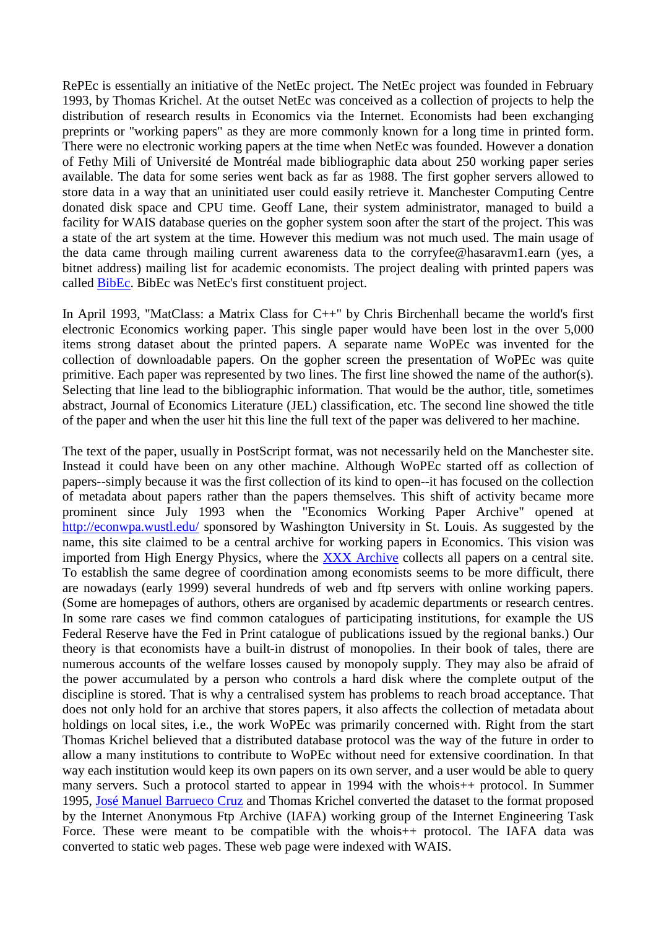RePEc is essentially an initiative of the NetEc project. The NetEc project was founded in February 1993, by Thomas Krichel. At the outset NetEc was conceived as a collection of projects to help the distribution of research results in Economics via the Internet. Economists had been exchanging preprints or "working papers" as they are more commonly known for a long time in printed form. There were no electronic working papers at the time when NetEc was founded. However a donation of Fethy Mili of Université de Montréal made bibliographic data about 250 working paper series available. The data for some series went back as far as 1988. The first gopher servers allowed to store data in a way that an uninitiated user could easily retrieve it. Manchester Computing Centre donated disk space and CPU time. Geoff Lane, their system administrator, managed to build a facility for WAIS database queries on the gopher system soon after the start of the project. This was a state of the art system at the time. However this medium was not much used. The main usage of the data came through mailing current awareness data to the corryfee@hasaravm1.earn (yes, a bitnet address) mailing list for academic economists. The project dealing with printed papers was called BibEc. BibEc was NetEc's first constituent project.

In April 1993, "MatClass: a Matrix Class for C++" by Chris Birchenhall became the world's first electronic Economics working paper. This single paper would have been lost in the over 5,000 items strong dataset about the printed papers. A separate name WoPEc was invented for the collection of downloadable papers. On the gopher screen the presentation of WoPEc was quite primitive. Each paper was represented by two lines. The first line showed the name of the author(s). Selecting that line lead to the bibliographic information. That would be the author, title, sometimes abstract, Journal of Economics Literature (JEL) classification, etc. The second line showed the title of the paper and when the user hit this line the full text of the paper was delivered to her machine.

The text of the paper, usually in PostScript format, was not necessarily held on the Manchester site. Instead it could have been on any other machine. Although WoPEc started off as collection of papers--simply because it was the first collection of its kind to open--it has focused on the collection of metadata about papers rather than the papers themselves. This shift of activity became more prominent since July 1993 when the "Economics Working Paper Archive" opened at http://econwpa.wustl.edu/ sponsored by Washington University in St. Louis. As suggested by the name, this site claimed to be a central archive for working papers in Economics. This vision was imported from High Energy Physics, where the XXX Archive collects all papers on a central site. To establish the same degree of coordination among economists seems to be more difficult, there are nowadays (early 1999) several hundreds of web and ftp servers with online working papers. (Some are homepages of authors, others are organised by academic departments or research centres. In some rare cases we find common catalogues of participating institutions, for example the US Federal Reserve have the Fed in Print catalogue of publications issued by the regional banks.) Our theory is that economists have a built-in distrust of monopolies. In their book of tales, there are numerous accounts of the welfare losses caused by monopoly supply. They may also be afraid of the power accumulated by a person who controls a hard disk where the complete output of the discipline is stored. That is why a centralised system has problems to reach broad acceptance. That does not only hold for an archive that stores papers, it also affects the collection of metadata about holdings on local sites, i.e., the work WoPEc was primarily concerned with. Right from the start Thomas Krichel believed that a distributed database protocol was the way of the future in order to allow a many institutions to contribute to WoPEc without need for extensive coordination. In that way each institution would keep its own papers on its own server, and a user would be able to query many servers. Such a protocol started to appear in 1994 with the whois++ protocol. In Summer 1995, José Manuel Barrueco Cruz and Thomas Krichel converted the dataset to the format proposed by the Internet Anonymous Ftp Archive (IAFA) working group of the Internet Engineering Task Force. These were meant to be compatible with the whois++ protocol. The IAFA data was converted to static web pages. These web page were indexed with WAIS.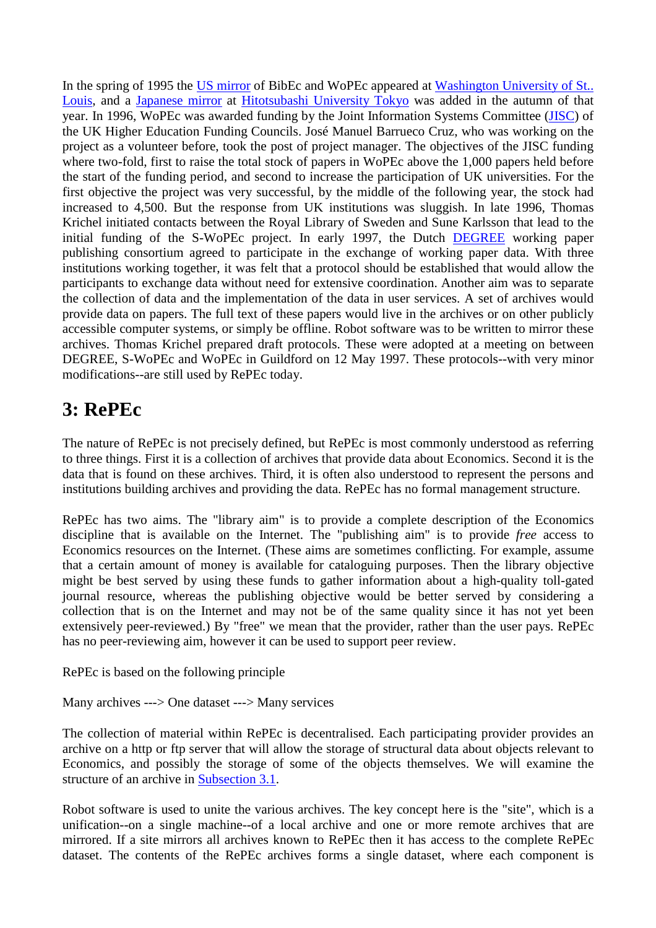In the spring of 1995 the US mirror of BibEc and WoPEc appeared at Washington University of St.. Louis, and a Japanese mirror at Hitotsubashi University Tokyo was added in the autumn of that year. In 1996, WoPEc was awarded funding by the Joint Information Systems Committee (JISC) of the UK Higher Education Funding Councils. José Manuel Barrueco Cruz, who was working on the project as a volunteer before, took the post of project manager. The objectives of the JISC funding where two-fold, first to raise the total stock of papers in WoPEc above the 1,000 papers held before the start of the funding period, and second to increase the participation of UK universities. For the first objective the project was very successful, by the middle of the following year, the stock had increased to 4,500. But the response from UK institutions was sluggish. In late 1996, Thomas Krichel initiated contacts between the Royal Library of Sweden and Sune Karlsson that lead to the initial funding of the S-WoPEc project. In early 1997, the Dutch DEGREE working paper publishing consortium agreed to participate in the exchange of working paper data. With three institutions working together, it was felt that a protocol should be established that would allow the participants to exchange data without need for extensive coordination. Another aim was to separate the collection of data and the implementation of the data in user services. A set of archives would provide data on papers. The full text of these papers would live in the archives or on other publicly accessible computer systems, or simply be offline. Robot software was to be written to mirror these archives. Thomas Krichel prepared draft protocols. These were adopted at a meeting on between DEGREE, S-WoPEc and WoPEc in Guildford on 12 May 1997. These protocols--with very minor modifications--are still used by RePEc today.

# **3: RePEc**

The nature of RePEc is not precisely defined, but RePEc is most commonly understood as referring to three things. First it is a collection of archives that provide data about Economics. Second it is the data that is found on these archives. Third, it is often also understood to represent the persons and institutions building archives and providing the data. RePEc has no formal management structure.

RePEc has two aims. The "library aim" is to provide a complete description of the Economics discipline that is available on the Internet. The "publishing aim" is to provide *free* access to Economics resources on the Internet. (These aims are sometimes conflicting. For example, assume that a certain amount of money is available for cataloguing purposes. Then the library objective might be best served by using these funds to gather information about a high-quality toll-gated journal resource, whereas the publishing objective would be better served by considering a collection that is on the Internet and may not be of the same quality since it has not yet been extensively peer-reviewed.) By "free" we mean that the provider, rather than the user pays. RePEc has no peer-reviewing aim, however it can be used to support peer review.

RePEc is based on the following principle

Many archives ---> One dataset ---> Many services

The collection of material within RePEc is decentralised. Each participating provider provides an archive on a http or ftp server that will allow the storage of structural data about objects relevant to Economics, and possibly the storage of some of the objects themselves. We will examine the structure of an archive in Subsection 3.1.

Robot software is used to unite the various archives. The key concept here is the "site", which is a unification--on a single machine--of a local archive and one or more remote archives that are mirrored. If a site mirrors all archives known to RePEc then it has access to the complete RePEc dataset. The contents of the RePEc archives forms a single dataset, where each component is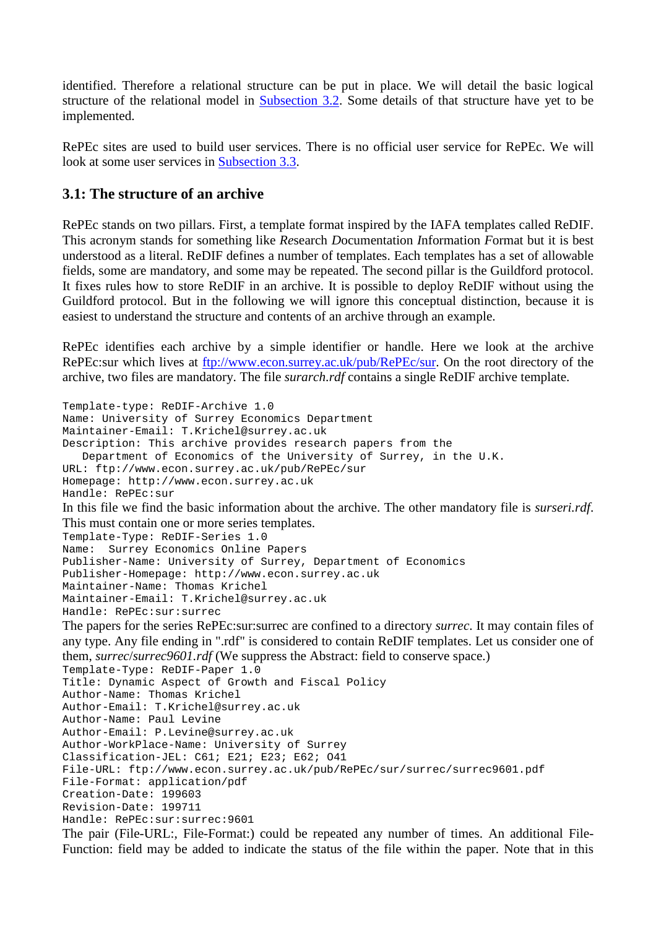identified. Therefore a relational structure can be put in place. We will detail the basic logical structure of the relational model in Subsection 3.2. Some details of that structure have yet to be implemented.

RePEc sites are used to build user services. There is no official user service for RePEc. We will look at some user services in Subsection 3.3.

## **3.1: The structure of an archive**

RePEc stands on two pillars. First, a template format inspired by the IAFA templates called ReDIF. This acronym stands for something like *Re*search *D*ocumentation *I*nformation *F*ormat but it is best understood as a literal. ReDIF defines a number of templates. Each templates has a set of allowable fields, some are mandatory, and some may be repeated. The second pillar is the Guildford protocol. It fixes rules how to store ReDIF in an archive. It is possible to deploy ReDIF without using the Guildford protocol. But in the following we will ignore this conceptual distinction, because it is easiest to understand the structure and contents of an archive through an example.

RePEc identifies each archive by a simple identifier or handle. Here we look at the archive RePEc:sur which lives at ftp://www.econ.surrey.ac.uk/pub/RePEc/sur. On the root directory of the archive, two files are mandatory. The file *surarch.rdf* contains a single ReDIF archive template.

```
Template-type: ReDIF-Archive 1.0
Name: University of Surrey Economics Department
Maintainer-Email: T.Krichel@surrey.ac.uk
Description: This archive provides research papers from the
    Department of Economics of the University of Surrey, in the U.K.
URL: ftp://www.econ.surrey.ac.uk/pub/RePEc/sur
Homepage: http://www.econ.surrey.ac.uk
Handle: RePEc:sur
In this file we find the basic information about the archive. The other mandatory file is surseri.rdf. 
This must contain one or more series templates. 
Template-Type: ReDIF-Series 1.0
Name: Surrey Economics Online Papers
Publisher-Name: University of Surrey, Department of Economics
Publisher-Homepage: http://www.econ.surrey.ac.uk
Maintainer-Name: Thomas Krichel
Maintainer-Email: T.Krichel@surrey.ac.uk
Handle: RePEc:sur:surrec
The papers for the series RePEc:sur:surrec are confined to a directory surrec. It may contain files of 
any type. Any file ending in ".rdf" is considered to contain ReDIF templates. Let us consider one of 
them, surrec/surrec9601.rdf (We suppress the Abstract: field to conserve space.) 
Template-Type: ReDIF-Paper 1.0
Title: Dynamic Aspect of Growth and Fiscal Policy
Author-Name: Thomas Krichel
Author-Email: T.Krichel@surrey.ac.uk
Author-Name: Paul Levine
Author-Email: P.Levine@surrey.ac.uk
Author-WorkPlace-Name: University of Surrey
Classification-JEL: C61; E21; E23; E62; O41
File-URL: ftp://www.econ.surrey.ac.uk/pub/RePEc/sur/surrec/surrec9601.pdf
File-Format: application/pdf
Creation-Date: 199603
Revision-Date: 199711
Handle: RePEc:sur:surrec:9601
The pair (File-URL:, File-Format:) could be repeated any number of times. An additional File-
```
Function: field may be added to indicate the status of the file within the paper. Note that in this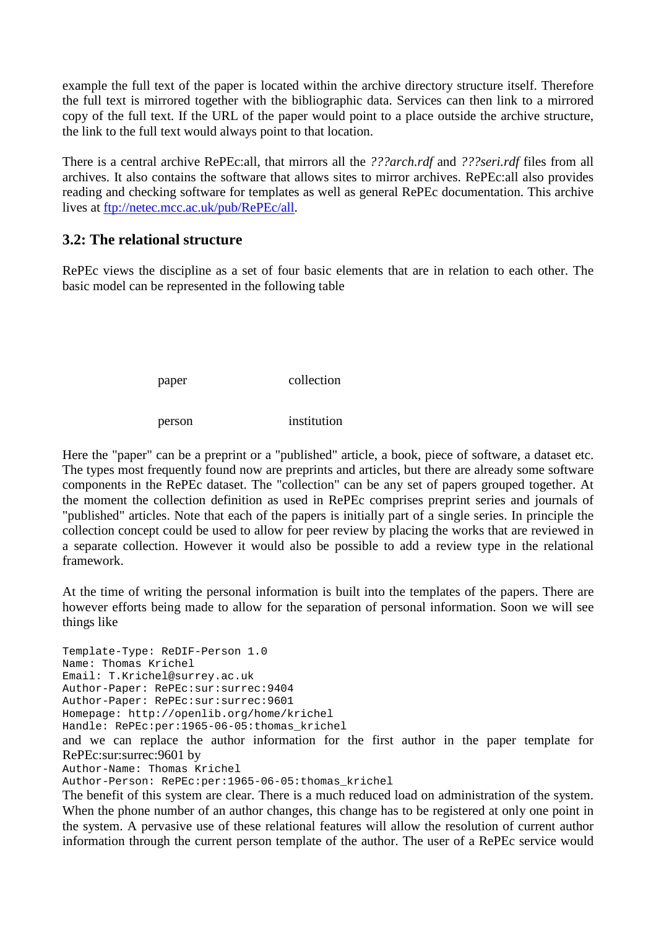example the full text of the paper is located within the archive directory structure itself. Therefore the full text is mirrored together with the bibliographic data. Services can then link to a mirrored copy of the full text. If the URL of the paper would point to a place outside the archive structure, the link to the full text would always point to that location.

There is a central archive RePEc:all, that mirrors all the *???arch.rdf* and *???seri.rdf* files from all archives. It also contains the software that allows sites to mirror archives. RePEc:all also provides reading and checking software for templates as well as general RePEc documentation. This archive lives at ftp://netec.mcc.ac.uk/pub/RePEc/all.

## **3.2: The relational structure**

RePEc views the discipline as a set of four basic elements that are in relation to each other. The basic model can be represented in the following table

paper collection

person institution

Here the "paper" can be a preprint or a "published" article, a book, piece of software, a dataset etc. The types most frequently found now are preprints and articles, but there are already some software components in the RePEc dataset. The "collection" can be any set of papers grouped together. At the moment the collection definition as used in RePEc comprises preprint series and journals of "published" articles. Note that each of the papers is initially part of a single series. In principle the collection concept could be used to allow for peer review by placing the works that are reviewed in a separate collection. However it would also be possible to add a review type in the relational framework.

At the time of writing the personal information is built into the templates of the papers. There are however efforts being made to allow for the separation of personal information. Soon we will see things like

Template-Type: ReDIF-Person 1.0 Name: Thomas Krichel Email: T.Krichel@surrey.ac.uk Author-Paper: RePEc:sur:surrec:9404 Author-Paper: RePEc:sur:surrec:9601 Homepage: http://openlib.org/home/krichel Handle: RePEc:per:1965-06-05:thomas\_krichel

and we can replace the author information for the first author in the paper template for RePEc:sur:surrec:9601 by

Author-Name: Thomas Krichel

Author-Person: RePEc:per:1965-06-05:thomas\_krichel

The benefit of this system are clear. There is a much reduced load on administration of the system. When the phone number of an author changes, this change has to be registered at only one point in the system. A pervasive use of these relational features will allow the resolution of current author information through the current person template of the author. The user of a RePEc service would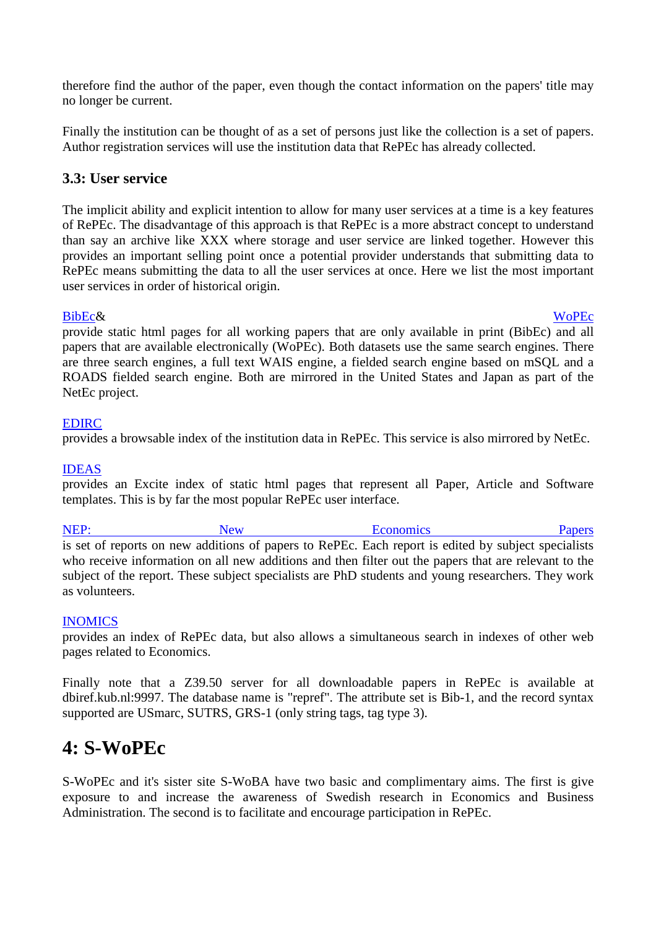therefore find the author of the paper, even though the contact information on the papers' title may no longer be current.

Finally the institution can be thought of as a set of persons just like the collection is a set of papers. Author registration services will use the institution data that RePEc has already collected.

## **3.3: User service**

The implicit ability and explicit intention to allow for many user services at a time is a key features of RePEc. The disadvantage of this approach is that RePEc is a more abstract concept to understand than say an archive like XXX where storage and user service are linked together. However this provides an important selling point once a potential provider understands that submitting data to RePEc means submitting the data to all the user services at once. Here we list the most important user services in order of historical origin.

BibEc& WoPEc provide static html pages for all working papers that are only available in print (BibEc) and all papers that are available electronically (WoPEc). Both datasets use the same search engines. There are three search engines, a full text WAIS engine, a fielded search engine based on mSQL and a ROADS fielded search engine. Both are mirrored in the United States and Japan as part of the NetEc project.

## EDIRC

provides a browsable index of the institution data in RePEc. This service is also mirrored by NetEc.

## IDEAS

provides an Excite index of static html pages that represent all Paper, Article and Software templates. This is by far the most popular RePEc user interface.

NEP: New New Economics Papers is set of reports on new additions of papers to RePEc. Each report is edited by subject specialists who receive information on all new additions and then filter out the papers that are relevant to the subject of the report. These subject specialists are PhD students and young researchers. They work as volunteers.

## INOMICS

provides an index of RePEc data, but also allows a simultaneous search in indexes of other web pages related to Economics.

Finally note that a Z39.50 server for all downloadable papers in RePEc is available at dbiref.kub.nl:9997. The database name is "repref". The attribute set is Bib-1, and the record syntax supported are USmarc, SUTRS, GRS-1 (only string tags, tag type 3).

# **4: S-WoPEc**

S-WoPEc and it's sister site S-WoBA have two basic and complimentary aims. The first is give exposure to and increase the awareness of Swedish research in Economics and Business Administration. The second is to facilitate and encourage participation in RePEc.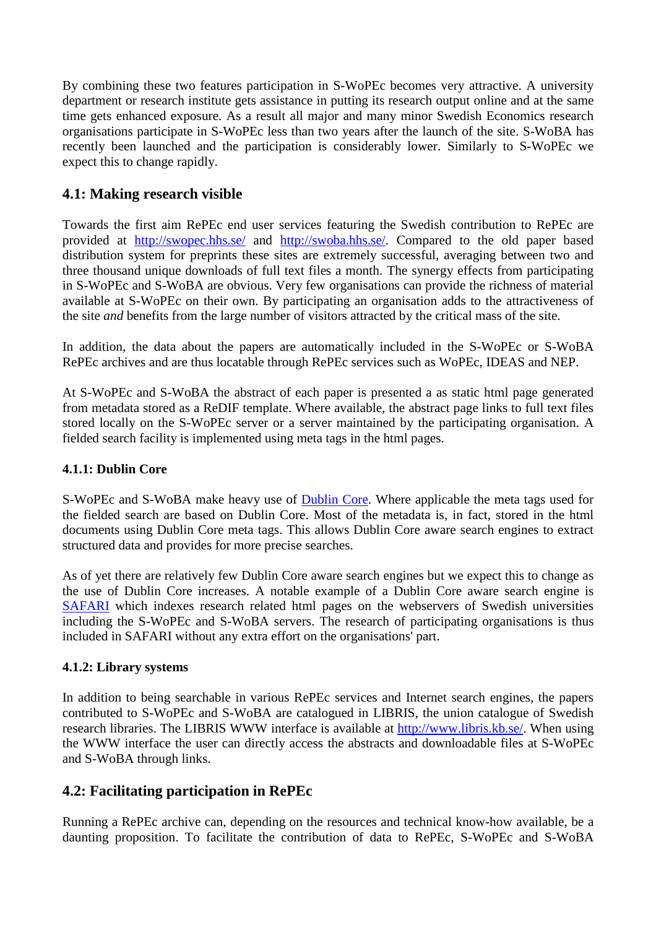By combining these two features participation in S-WoPEc becomes very attractive. A university department or research institute gets assistance in putting its research output online and at the same time gets enhanced exposure. As a result all major and many minor Swedish Economics research organisations participate in S-WoPEc less than two years after the launch of the site. S-WoBA has recently been launched and the participation is considerably lower. Similarly to S-WoPEc we expect this to change rapidly.

# **4.1: Making research visible**

Towards the first aim RePEc end user services featuring the Swedish contribution to RePEc are provided at http://swopec.hhs.se/ and http://swoba.hhs.se/. Compared to the old paper based distribution system for preprints these sites are extremely successful, averaging between two and three thousand unique downloads of full text files a month. The synergy effects from participating in S-WoPEc and S-WoBA are obvious. Very few organisations can provide the richness of material available at S-WoPEc on their own. By participating an organisation adds to the attractiveness of the site *and* benefits from the large number of visitors attracted by the critical mass of the site.

In addition, the data about the papers are automatically included in the S-WoPEc or S-WoBA RePEc archives and are thus locatable through RePEc services such as WoPEc, IDEAS and NEP.

At S-WoPEc and S-WoBA the abstract of each paper is presented a as static html page generated from metadata stored as a ReDIF template. Where available, the abstract page links to full text files stored locally on the S-WoPEc server or a server maintained by the participating organisation. A fielded search facility is implemented using meta tags in the html pages.

## **4.1.1: Dublin Core**

S-WoPEc and S-WoBA make heavy use of Dublin Core. Where applicable the meta tags used for the fielded search are based on Dublin Core. Most of the metadata is, in fact, stored in the html documents using Dublin Core meta tags. This allows Dublin Core aware search engines to extract structured data and provides for more precise searches.

As of yet there are relatively few Dublin Core aware search engines but we expect this to change as the use of Dublin Core increases. A notable example of a Dublin Core aware search engine is SAFARI which indexes research related html pages on the webservers of Swedish universities including the S-WoPEc and S-WoBA servers. The research of participating organisations is thus included in SAFARI without any extra effort on the organisations' part.

## **4.1.2: Library systems**

In addition to being searchable in various RePEc services and Internet search engines, the papers contributed to S-WoPEc and S-WoBA are catalogued in LIBRIS, the union catalogue of Swedish research libraries. The LIBRIS WWW interface is available at http://www.libris.kb.se/. When using the WWW interface the user can directly access the abstracts and downloadable files at S-WoPEc and S-WoBA through links.

## **4.2: Facilitating participation in RePEc**

Running a RePEc archive can, depending on the resources and technical know-how available, be a daunting proposition. To facilitate the contribution of data to RePEc, S-WoPEc and S-WoBA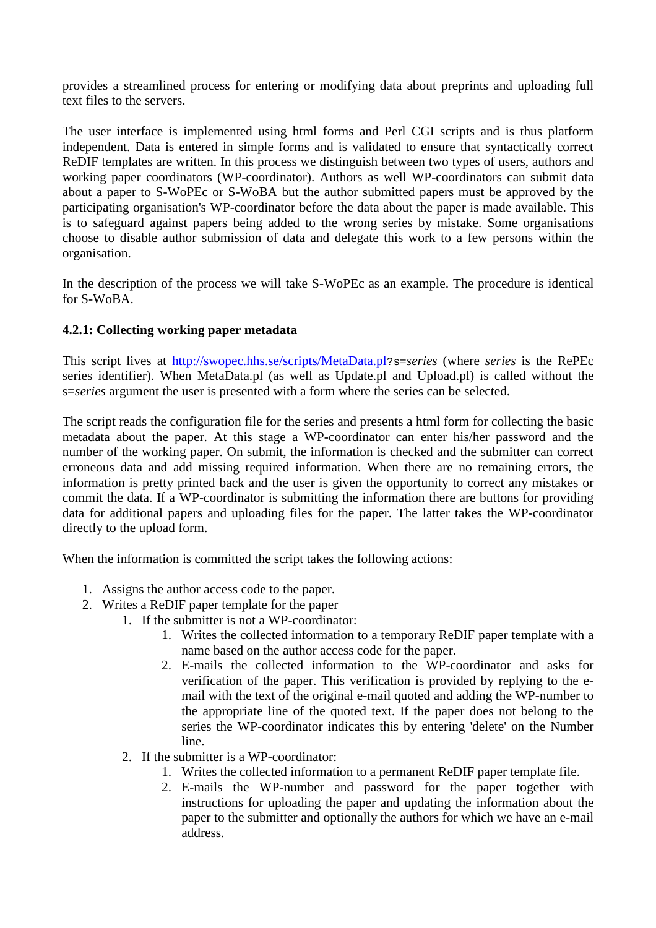provides a streamlined process for entering or modifying data about preprints and uploading full text files to the servers.

The user interface is implemented using html forms and Perl CGI scripts and is thus platform independent. Data is entered in simple forms and is validated to ensure that syntactically correct ReDIF templates are written. In this process we distinguish between two types of users, authors and working paper coordinators (WP-coordinator). Authors as well WP-coordinators can submit data about a paper to S-WoPEc or S-WoBA but the author submitted papers must be approved by the participating organisation's WP-coordinator before the data about the paper is made available. This is to safeguard against papers being added to the wrong series by mistake. Some organisations choose to disable author submission of data and delegate this work to a few persons within the organisation.

In the description of the process we will take S-WoPEc as an example. The procedure is identical for S-WoBA.

## **4.2.1: Collecting working paper metadata**

This script lives at http://swopec.hhs.se/scripts/MetaData.pl?s=*series* (where *series* is the RePEc series identifier). When MetaData.pl (as well as Update.pl and Upload.pl) is called without the s=*series* argument the user is presented with a form where the series can be selected.

The script reads the configuration file for the series and presents a html form for collecting the basic metadata about the paper. At this stage a WP-coordinator can enter his/her password and the number of the working paper. On submit, the information is checked and the submitter can correct erroneous data and add missing required information. When there are no remaining errors, the information is pretty printed back and the user is given the opportunity to correct any mistakes or commit the data. If a WP-coordinator is submitting the information there are buttons for providing data for additional papers and uploading files for the paper. The latter takes the WP-coordinator directly to the upload form.

When the information is committed the script takes the following actions:

- 1. Assigns the author access code to the paper.
- 2. Writes a ReDIF paper template for the paper
	- 1. If the submitter is not a WP-coordinator:
		- 1. Writes the collected information to a temporary ReDIF paper template with a name based on the author access code for the paper.
		- 2. E-mails the collected information to the WP-coordinator and asks for verification of the paper. This verification is provided by replying to the email with the text of the original e-mail quoted and adding the WP-number to the appropriate line of the quoted text. If the paper does not belong to the series the WP-coordinator indicates this by entering 'delete' on the Number line.
	- 2. If the submitter is a WP-coordinator:
		- 1. Writes the collected information to a permanent ReDIF paper template file.
		- 2. E-mails the WP-number and password for the paper together with instructions for uploading the paper and updating the information about the paper to the submitter and optionally the authors for which we have an e-mail address.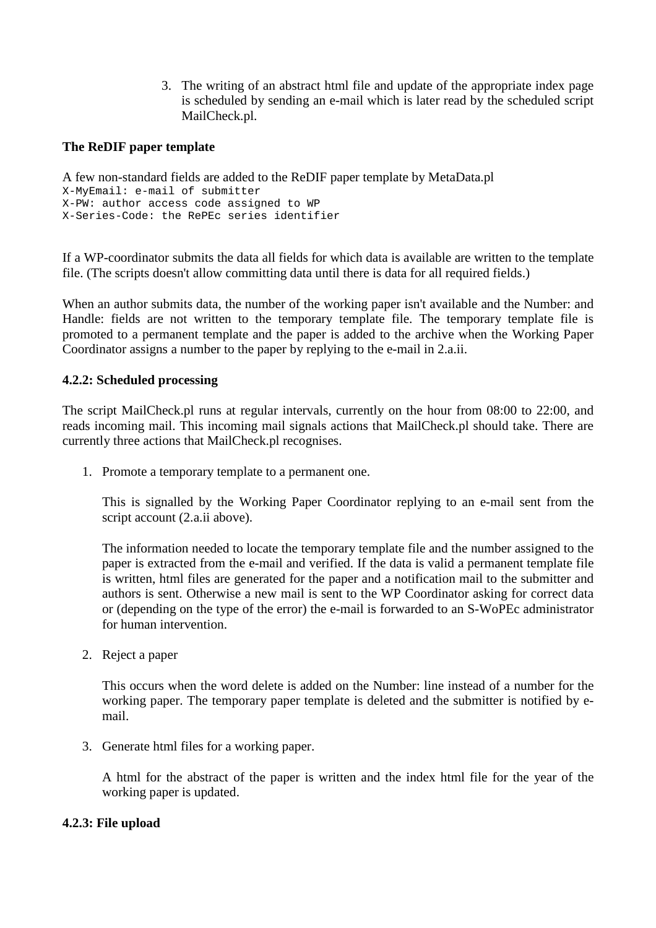3. The writing of an abstract html file and update of the appropriate index page is scheduled by sending an e-mail which is later read by the scheduled script MailCheck.pl.

#### **The ReDIF paper template**

```
A few non-standard fields are added to the ReDIF paper template by MetaData.pl 
X-MyEmail: e-mail of submitter
X-PW: author access code assigned to WP
X-Series-Code: the RePEc series identifier
```
If a WP-coordinator submits the data all fields for which data is available are written to the template file. (The scripts doesn't allow committing data until there is data for all required fields.)

When an author submits data, the number of the working paper isn't available and the Number: and Handle: fields are not written to the temporary template file. The temporary template file is promoted to a permanent template and the paper is added to the archive when the Working Paper Coordinator assigns a number to the paper by replying to the e-mail in 2.a.ii.

#### **4.2.2: Scheduled processing**

The script MailCheck.pl runs at regular intervals, currently on the hour from 08:00 to 22:00, and reads incoming mail. This incoming mail signals actions that MailCheck.pl should take. There are currently three actions that MailCheck.pl recognises.

1. Promote a temporary template to a permanent one.

This is signalled by the Working Paper Coordinator replying to an e-mail sent from the script account (2.a.ii above).

The information needed to locate the temporary template file and the number assigned to the paper is extracted from the e-mail and verified. If the data is valid a permanent template file is written, html files are generated for the paper and a notification mail to the submitter and authors is sent. Otherwise a new mail is sent to the WP Coordinator asking for correct data or (depending on the type of the error) the e-mail is forwarded to an S-WoPEc administrator for human intervention.

2. Reject a paper

This occurs when the word delete is added on the Number: line instead of a number for the working paper. The temporary paper template is deleted and the submitter is notified by email.

3. Generate html files for a working paper.

A html for the abstract of the paper is written and the index html file for the year of the working paper is updated.

#### **4.2.3: File upload**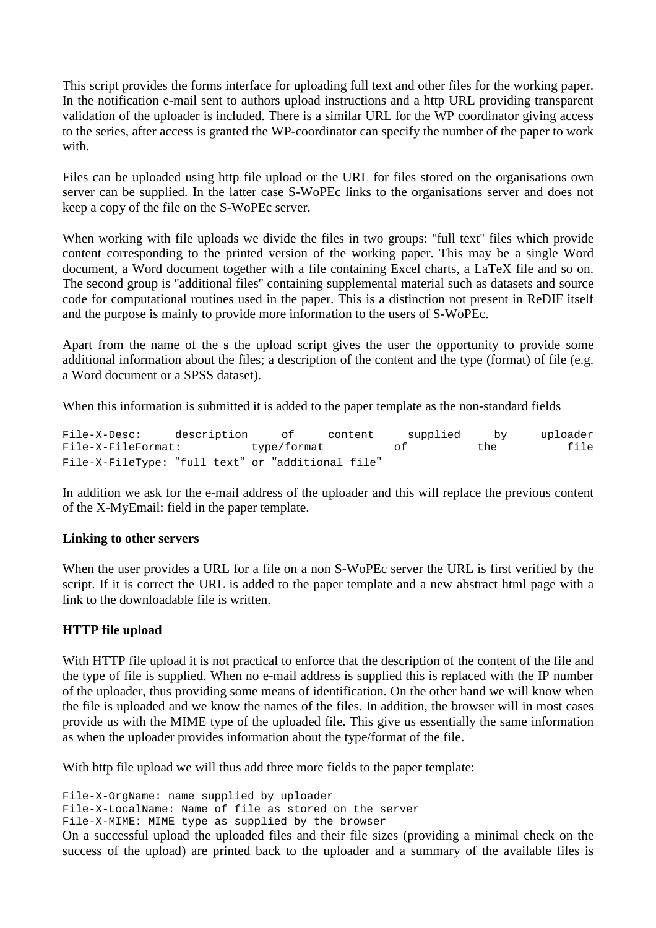This script provides the forms interface for uploading full text and other files for the working paper. In the notification e-mail sent to authors upload instructions and a http URL providing transparent validation of the uploader is included. There is a similar URL for the WP coordinator giving access to the series, after access is granted the WP-coordinator can specify the number of the paper to work with

Files can be uploaded using http file upload or the URL for files stored on the organisations own server can be supplied. In the latter case S-WoPEc links to the organisations server and does not keep a copy of the file on the S-WoPEc server.

When working with file uploads we divide the files in two groups: "full text" files which provide content corresponding to the printed version of the working paper. This may be a single Word document, a Word document together with a file containing Excel charts, a LaTeX file and so on. The second group is ''additional files'' containing supplemental material such as datasets and source code for computational routines used in the paper. This is a distinction not present in ReDIF itself and the purpose is mainly to provide more information to the users of S-WoPEc.

Apart from the name of the **s** the upload script gives the user the opportunity to provide some additional information about the files; a description of the content and the type (format) of file (e.g. a Word document or a SPSS dataset).

When this information is submitted it is added to the paper template as the non-standard fields

File-X-Desc: description of content supplied by uploader File-X-FileFormat: type/format of the file File-X-FileType: "full text" or "additional file"

In addition we ask for the e-mail address of the uploader and this will replace the previous content of the X-MyEmail: field in the paper template.

#### **Linking to other servers**

When the user provides a URL for a file on a non S-WoPEc server the URL is first verified by the script. If it is correct the URL is added to the paper template and a new abstract html page with a link to the downloadable file is written.

#### **HTTP file upload**

With HTTP file upload it is not practical to enforce that the description of the content of the file and the type of file is supplied. When no e-mail address is supplied this is replaced with the IP number of the uploader, thus providing some means of identification. On the other hand we will know when the file is uploaded and we know the names of the files. In addition, the browser will in most cases provide us with the MIME type of the uploaded file. This give us essentially the same information as when the uploader provides information about the type/format of the file.

With http file upload we will thus add three more fields to the paper template:

File-X-OrgName: name supplied by uploader

```
File-X-LocalName: Name of file as stored on the server
```
File-X-MIME: MIME type as supplied by the browser

On a successful upload the uploaded files and their file sizes (providing a minimal check on the success of the upload) are printed back to the uploader and a summary of the available files is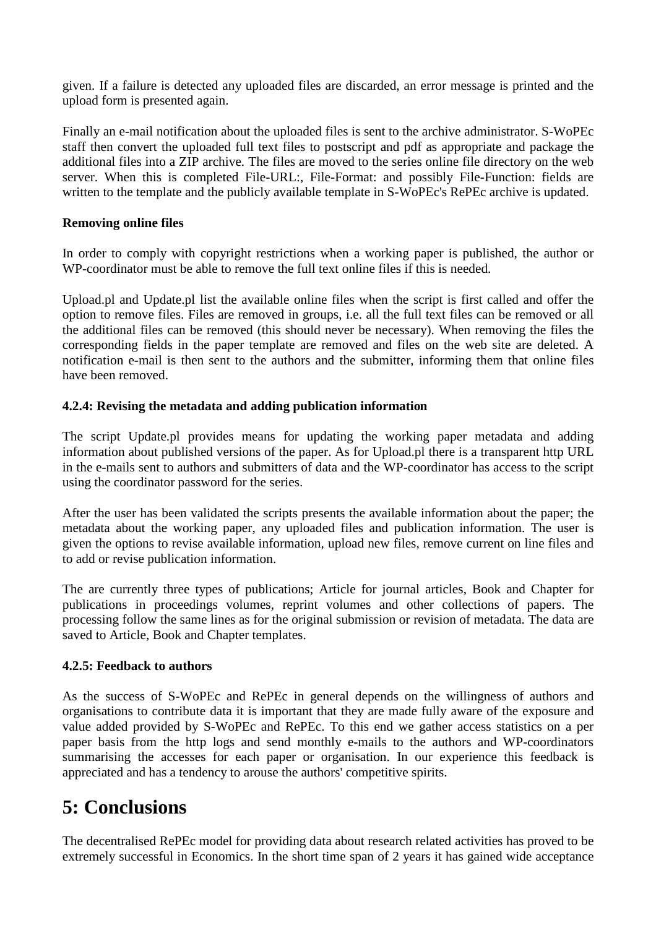given. If a failure is detected any uploaded files are discarded, an error message is printed and the upload form is presented again.

Finally an e-mail notification about the uploaded files is sent to the archive administrator. S-WoPEc staff then convert the uploaded full text files to postscript and pdf as appropriate and package the additional files into a ZIP archive. The files are moved to the series online file directory on the web server. When this is completed File-URL:, File-Format: and possibly File-Function: fields are written to the template and the publicly available template in S-WoPEc's RePEc archive is updated.

#### **Removing online files**

In order to comply with copyright restrictions when a working paper is published, the author or WP-coordinator must be able to remove the full text online files if this is needed.

Upload.pl and Update.pl list the available online files when the script is first called and offer the option to remove files. Files are removed in groups, i.e. all the full text files can be removed or all the additional files can be removed (this should never be necessary). When removing the files the corresponding fields in the paper template are removed and files on the web site are deleted. A notification e-mail is then sent to the authors and the submitter, informing them that online files have been removed.

#### **4.2.4: Revising the metadata and adding publication information**

The script Update.pl provides means for updating the working paper metadata and adding information about published versions of the paper. As for Upload.pl there is a transparent http URL in the e-mails sent to authors and submitters of data and the WP-coordinator has access to the script using the coordinator password for the series.

After the user has been validated the scripts presents the available information about the paper; the metadata about the working paper, any uploaded files and publication information. The user is given the options to revise available information, upload new files, remove current on line files and to add or revise publication information.

The are currently three types of publications; Article for journal articles, Book and Chapter for publications in proceedings volumes, reprint volumes and other collections of papers. The processing follow the same lines as for the original submission or revision of metadata. The data are saved to Article, Book and Chapter templates.

#### **4.2.5: Feedback to authors**

As the success of S-WoPEc and RePEc in general depends on the willingness of authors and organisations to contribute data it is important that they are made fully aware of the exposure and value added provided by S-WoPEc and RePEc. To this end we gather access statistics on a per paper basis from the http logs and send monthly e-mails to the authors and WP-coordinators summarising the accesses for each paper or organisation. In our experience this feedback is appreciated and has a tendency to arouse the authors' competitive spirits.

# **5: Conclusions**

The decentralised RePEc model for providing data about research related activities has proved to be extremely successful in Economics. In the short time span of 2 years it has gained wide acceptance